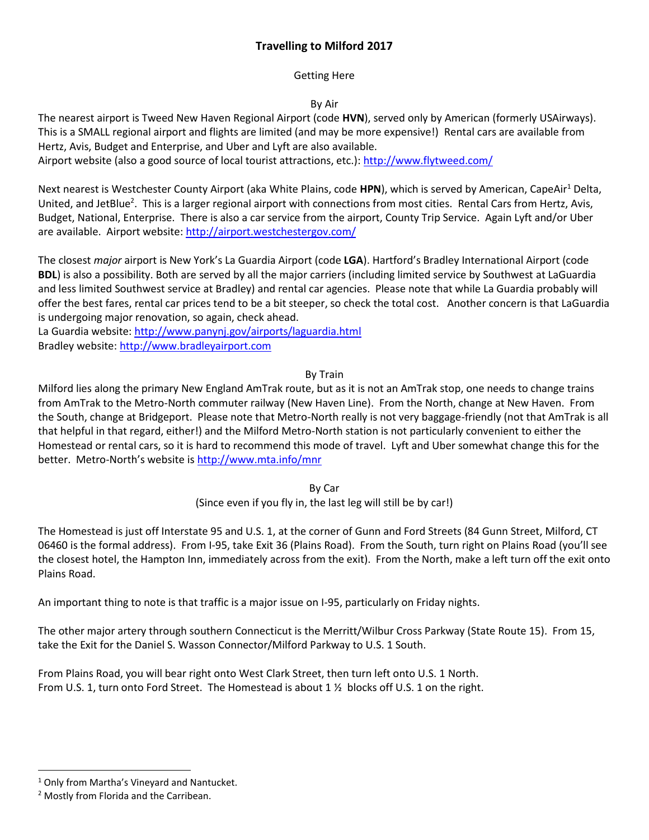# **Travelling to Milford 2017**

### Getting Here

## By Air

The nearest airport is Tweed New Haven Regional Airport (code **HVN**), served only by American (formerly USAirways). This is a SMALL regional airport and flights are limited (and may be more expensive!) Rental cars are available from Hertz, Avis, Budget and Enterprise, and Uber and Lyft are also available.

Airport website (also a good source of local tourist attractions, etc.):<http://www.flytweed.com/>

Next nearest is Westchester County Airport (aka White Plains, code HPN), which is served by American, CapeAir<sup>1</sup> Delta, United, and JetBlue<sup>2</sup>. This is a larger regional airport with connections from most cities. Rental Cars from Hertz, Avis, Budget, National, Enterprise. There is also a car service from the airport, County Trip Service. Again Lyft and/or Uber are available. Airport website:<http://airport.westchestergov.com/>

The closest *major* airport is New York's La Guardia Airport (code **LGA**). Hartford's Bradley International Airport (code **BDL**) is also a possibility. Both are served by all the major carriers (including limited service by Southwest at LaGuardia and less limited Southwest service at Bradley) and rental car agencies. Please note that while La Guardia probably will offer the best fares, rental car prices tend to be a bit steeper, so check the total cost. Another concern is that LaGuardia is undergoing major renovation, so again, check ahead.

La Guardia website: <http://www.panynj.gov/airports/laguardia.html> Bradley website: [http://www.bradleyairport.com](http://www.bradleyairport.com/)

### By Train

Milford lies along the primary New England AmTrak route, but as it is not an AmTrak stop, one needs to change trains from AmTrak to the Metro-North commuter railway (New Haven Line). From the North, change at New Haven. From the South, change at Bridgeport. Please note that Metro-North really is not very baggage-friendly (not that AmTrak is all that helpful in that regard, either!) and the Milford Metro-North station is not particularly convenient to either the Homestead or rental cars, so it is hard to recommend this mode of travel. Lyft and Uber somewhat change this for the better. Metro-North's website is <http://www.mta.info/mnr>

> By Car (Since even if you fly in, the last leg will still be by car!)

The Homestead is just off Interstate 95 and U.S. 1, at the corner of Gunn and Ford Streets (84 Gunn Street, Milford, CT 06460 is the formal address). From I-95, take Exit 36 (Plains Road). From the South, turn right on Plains Road (you'll see the closest hotel, the Hampton Inn, immediately across from the exit). From the North, make a left turn off the exit onto Plains Road.

An important thing to note is that traffic is a major issue on I-95, particularly on Friday nights.

The other major artery through southern Connecticut is the Merritt/Wilbur Cross Parkway (State Route 15). From 15, take the Exit for the Daniel S. Wasson Connector/Milford Parkway to U.S. 1 South.

From Plains Road, you will bear right onto West Clark Street, then turn left onto U.S. 1 North. From U.S. 1, turn onto Ford Street. The Homestead is about 1  $\frac{1}{2}$  blocks off U.S. 1 on the right.

 $\overline{\phantom{a}}$ 

<sup>&</sup>lt;sup>1</sup> Only from Martha's Vineyard and Nantucket.

<sup>2</sup> Mostly from Florida and the Carribean.